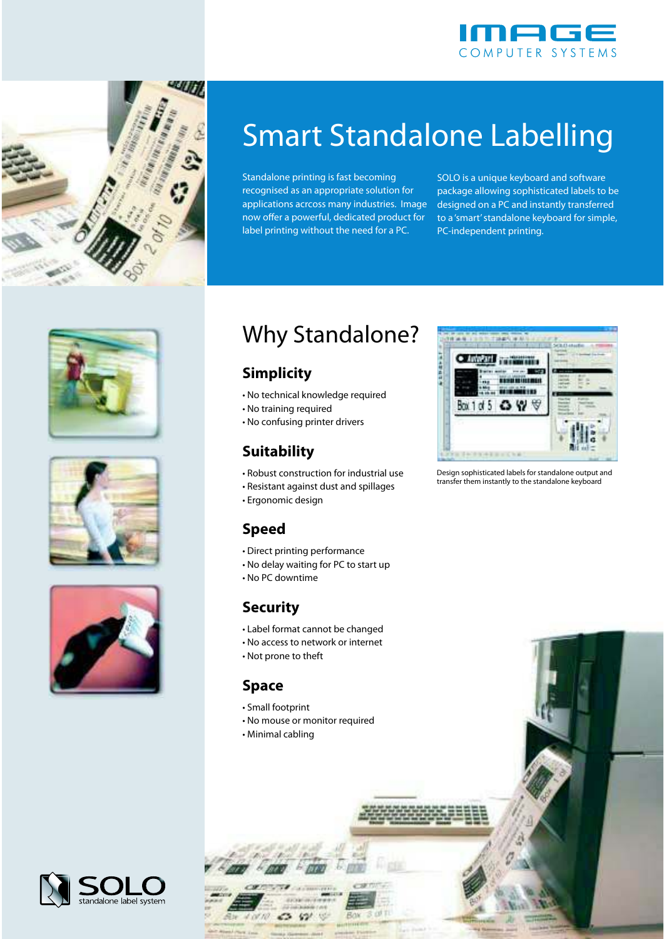



# Smart Standalone Labelling

Standalone printing is fast becoming recognised as an appropriate solution for applications acrcoss many industries. Image now offer a powerful, dedicated product for label printing without the need for a PC.

SOLO is a unique keyboard and software package allowing sophisticated labels to be designed on a PC and instantly transferred to a 'smart' standalone keyboard for simple, PC-independent printing.







## Why Standalone?

### **Simplicity**

- No technical knowledge required
- No training required
- No confusing printer drivers

### **Suitability**

- Robust construction for industrial use
- Resistant against dust and spillages
- Ergonomic design

### **Speed**

- Direct printing performance
- No delay waiting for PC to start up
- No PC downtime

#### **Security**

- Label format cannot be changed
- No access to network or internet
- Not prone to theft

#### **Space**

- Small footprint
- No mouse or monitor required

42

• Minimal cabling



Design sophisticated labels for standalone output and transfer them instantly to the standalone keyboard

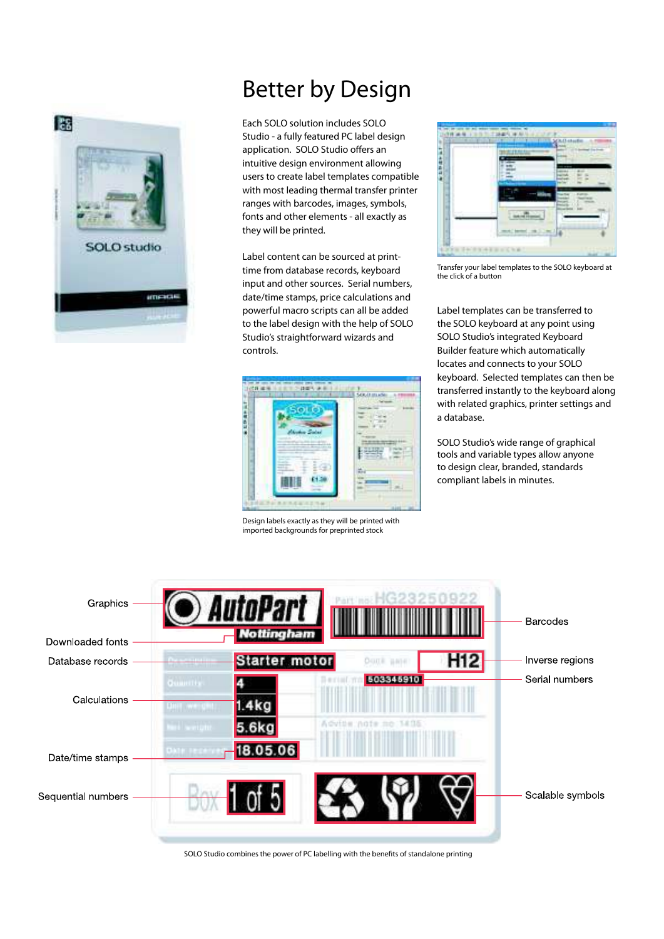

### Better by Design

Each SOLO solution includes SOLO Studio - a fully featured PC label design application. SOLO Studio offers an intuitive design environment allowing users to create label templates compatible with most leading thermal transfer printer ranges with barcodes, images, symbols, fonts and other elements - all exactly as they will be printed.

Label content can be sourced at printtime from database records, keyboard input and other sources. Serial numbers, date/time stamps, price calculations and powerful macro scripts can all be added to the label design with the help of SOLO Studio's straightforward wizards and controls.



Design labels exactly as they will be printed with imported backgrounds for preprinted stock



Transfer your label templates to the SOLO keyboard at the click of a button

Label templates can be transferred to the SOLO keyboard at any point using SOLO Studio's integrated Keyboard Builder feature which automatically locates and connects to your SOLO keyboard. Selected templates can then be transferred instantly to the keyboard along with related graphics, printer settings and a database.

SOLO Studio's wide range of graphical tools and variable types allow anyone to design clear, branded, standards compliant labels in minutes.



SOLO Studio combines the power of PC labelling with the benefits of standalone printing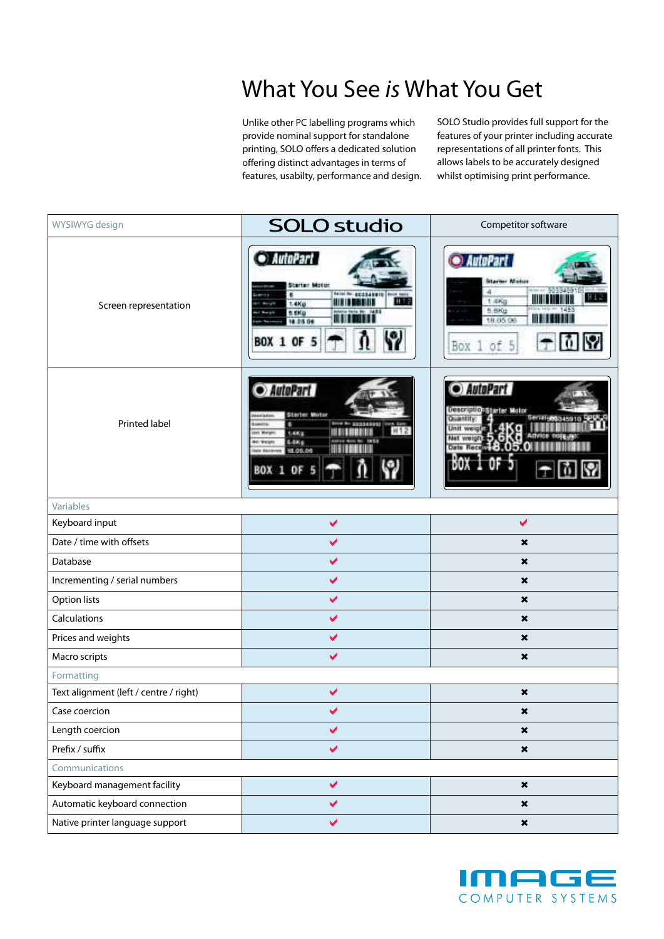### What You See is What You Get

Unlike other PC labelling programs which provide nominal support for standalone printing, SOLO offers a dedicated solution offering distinct advantages in terms of features, usabilty, performance and design. SOLO Studio provides full support for the features of your printer including accurate representations of all printer fonts. This allows labels to be accurately designed whilst optimising print performance.

| WYSIWYG design                         | <b>SOLO studio</b>                                                                                                                                                                   | Competitor software                                                                             |
|----------------------------------------|--------------------------------------------------------------------------------------------------------------------------------------------------------------------------------------|-------------------------------------------------------------------------------------------------|
| Screen representation                  | · AutoPart<br>Starter Motor<br>here he anddannis mot out<br>٠<br><b>HIP</b><br>61 H H<br>1.4Kg<br>s ekg<br>14.91<br>18.05.06<br><b>BOX 1 OF 5</b>                                    | • AutoPart<br><b>Starter Motor</b><br>4<br>t.4Kg<br>5.6Kg<br>18.05.06<br>.<br>of 5<br>Box 1     |
| Printed label                          | AutoPart<br>Starter Motor<br><b><i><u><i><u>ARCHITECT</u></i></u></i></b><br>\$6334890<br>W12<br>LAKE<br>es Meight<br><b>LAKE</b><br><b>Mr. Warsh</b><br>18.05.06<br><b>BOX 1 OF</b> | · AutoPart<br>DescriptionSharter Motor<br>Quantity<br>Jmst.<br>weigt<br>Net wwight<br>Date Roce |
| Variables                              |                                                                                                                                                                                      |                                                                                                 |
| Keyboard input                         | $\blacktriangledown$                                                                                                                                                                 | $\blacktriangledown$                                                                            |
| Date / time with offsets               | $\checkmark$                                                                                                                                                                         | $\boldsymbol{\mathsf{x}}$                                                                       |
| Database                               | $\blacktriangledown$                                                                                                                                                                 | $\pmb{\times}$                                                                                  |
| Incrementing / serial numbers          | $\blacktriangledown$                                                                                                                                                                 | $\boldsymbol{\mathsf{x}}$                                                                       |
| <b>Option lists</b>                    | $\blacktriangledown$                                                                                                                                                                 | $\boldsymbol{\mathsf{x}}$                                                                       |
| Calculations                           | $\blacktriangledown$                                                                                                                                                                 | $\pmb{\times}$                                                                                  |
| Prices and weights                     | $\checkmark$                                                                                                                                                                         | $\boldsymbol{\mathsf{x}}$                                                                       |
| Macro scripts                          | $\checkmark$                                                                                                                                                                         | $\boldsymbol{\mathsf{x}}$                                                                       |
| Formatting                             |                                                                                                                                                                                      |                                                                                                 |
| Text alignment (left / centre / right) | $\checkmark$                                                                                                                                                                         | $\pmb{\times}$                                                                                  |
| Case coercion                          | $\overline{\mathscr{L}}$                                                                                                                                                             | ×                                                                                               |
| Length coercion                        | $\checkmark$                                                                                                                                                                         | $\pmb{\times}$                                                                                  |
| Prefix / suffix                        | $\blacktriangledown$                                                                                                                                                                 | $\pmb{\times}$                                                                                  |
| Communications                         |                                                                                                                                                                                      |                                                                                                 |
| Keyboard management facility           | $\blacktriangledown$                                                                                                                                                                 | $\pmb{\times}$                                                                                  |
| Automatic keyboard connection          | $\blacktriangledown$                                                                                                                                                                 | $\pmb{\times}$                                                                                  |
| Native printer language support        | $\blacktriangledown$                                                                                                                                                                 | $\pmb{\times}$                                                                                  |